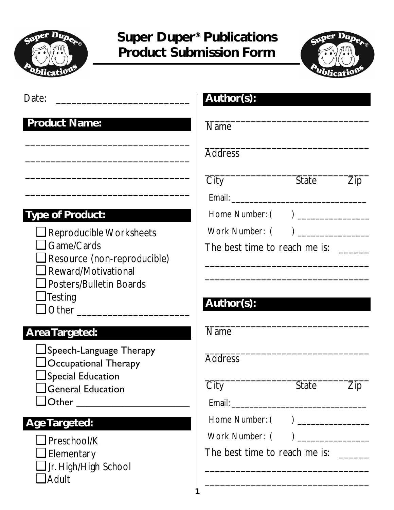



Date:

#### **Product Name:**

## **Type of Product:**

- ❑ Reproducible Worksheets
- ❑ Game/Cards
- ❑ Resource (non-reproducible)

\_\_\_\_\_\_\_\_\_\_\_\_\_\_\_\_\_\_\_\_\_\_\_\_\_\_\_\_\_\_\_\_

\_\_\_\_\_\_\_\_\_\_\_\_\_\_\_\_\_\_\_\_\_\_\_\_\_\_\_\_\_\_\_\_

\_\_\_\_\_\_\_\_\_\_\_\_\_\_\_\_\_\_\_\_\_\_\_\_\_\_\_\_\_\_\_\_

\_\_\_\_\_\_\_\_\_\_\_\_\_\_\_\_\_\_\_\_\_\_\_\_\_\_\_\_\_\_\_\_

- ❑ Reward/Motivational
- ❑ Posters/Bulletin Boards
- ❑Testing
- ❑ Other \_\_\_\_\_\_\_\_\_\_\_\_\_\_\_\_\_\_\_\_\_\_

#### **Area Targeted:**

- ❑ Speech-Language Therapy
- ❑ Occupational Therapy
- ❑ Special Education
- ❑ General Education
- $\Box$  Other

## **Age Targeted:**

- ❑ Preschool/K
- ❑ Elementary
- ❑ Jr. High/High School
- ❑ Adult

| City                          | <b>State</b> | Zip |
|-------------------------------|--------------|-----|
| Email:                        |              |     |
| Home Number: $($ $)$ $\_\_$   |              |     |
| Work Number: $($ $)$ $\_\_$   |              |     |
| The best time to reach me is: |              |     |
|                               |              |     |

\_\_\_\_\_\_\_\_\_\_\_\_\_\_\_\_\_\_\_\_\_\_\_\_\_\_\_\_\_\_\_\_

\_\_\_\_\_\_\_\_\_\_\_\_\_\_\_\_\_\_\_\_\_\_\_\_\_\_\_\_\_\_\_\_

\_\_\_\_\_\_\_\_\_\_\_\_\_\_\_\_\_\_\_\_\_\_\_\_\_\_\_\_\_\_\_\_

# **Author(s):**

**Author(s):**

Name

**Address** 

#### \_\_\_\_\_\_\_\_\_\_\_\_\_\_\_\_\_\_\_\_\_\_\_\_\_\_\_\_\_\_\_\_ Name

\_\_\_\_\_\_\_\_\_\_\_\_\_\_\_\_\_\_\_\_\_\_\_\_\_\_\_\_\_\_\_\_ **Address** 

| City   | <b>State</b> | Zip |
|--------|--------------|-----|
| Email: |              |     |

\_\_\_\_\_\_\_\_\_\_\_\_\_\_\_\_\_\_\_\_\_\_\_\_\_\_\_\_\_\_\_\_

\_\_\_\_\_\_\_\_\_\_\_\_\_\_\_\_\_\_\_\_\_\_\_\_\_\_\_\_\_\_\_\_

Home Number: ( ) \_\_\_\_\_\_\_\_\_\_\_\_\_\_

Work Number: ( )

The best time to reach me is:

**1**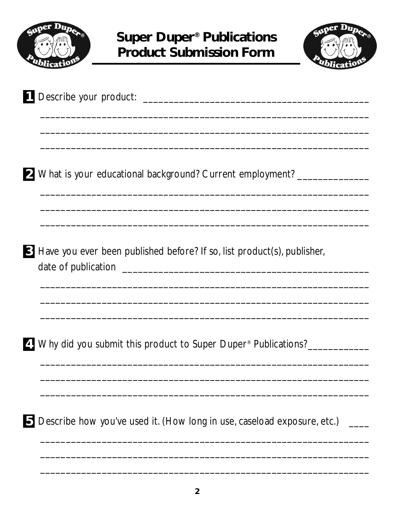



| 2 What is your educational background? Current employment? _______________       |
|----------------------------------------------------------------------------------|
| <b>S</b> Have you ever been published before? If so, list product(s), publisher, |
| 4. Why did you submit this product to Super Duper <sup>®</sup> Publications?     |
| Describe how you've used it. (How long in use, caseload exposure, etc.)          |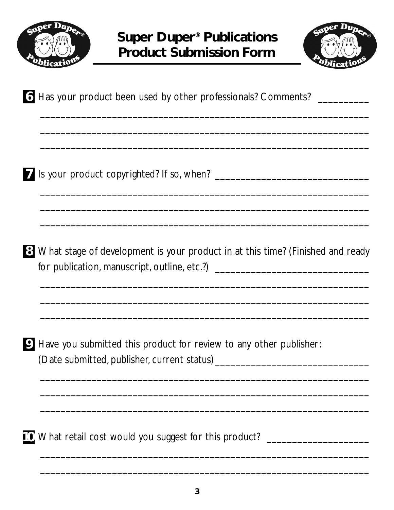



| 6 Has your product been used by other professionals? Comments? __________                                                                                            |
|----------------------------------------------------------------------------------------------------------------------------------------------------------------------|
|                                                                                                                                                                      |
| 8 What stage of development is your product in at this time? (Finished and ready<br>for publication, manuscript, outline, etc.?) ___________________________________ |
| <b>9</b> Have you submitted this product for review to any other publisher:                                                                                          |
| 10 What retail cost would you suggest for this product? ________________________                                                                                     |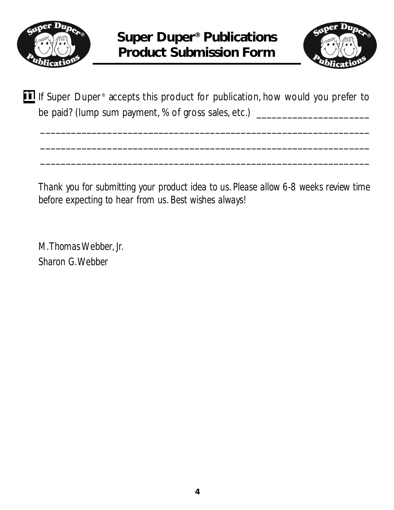



**If** If Super Duper<sup>®</sup> accepts this product for publication, how would you prefer to be paid? (lump sum payment, % of gross sales, etc.) \_\_\_\_\_\_\_\_\_\_\_\_\_\_\_\_\_\_\_\_\_\_\_\_\_\_\_\_

\_\_\_\_\_\_\_\_\_\_\_\_\_\_\_\_\_\_\_\_\_\_\_\_\_\_\_\_\_\_\_\_\_\_\_\_\_\_\_\_\_\_\_\_\_\_\_\_\_\_\_\_\_\_\_\_\_\_\_\_\_\_\_\_

\_\_\_\_\_\_\_\_\_\_\_\_\_\_\_\_\_\_\_\_\_\_\_\_\_\_\_\_\_\_\_\_\_\_\_\_\_\_\_\_\_\_\_\_\_\_\_\_\_\_\_\_\_\_\_\_\_\_\_\_\_\_\_\_

\_\_\_\_\_\_\_\_\_\_\_\_\_\_\_\_\_\_\_\_\_\_\_\_\_\_\_\_\_\_\_\_\_\_\_\_\_\_\_\_\_\_\_\_\_\_\_\_\_\_\_\_\_\_\_\_\_\_\_\_\_\_\_\_

*Thank you for submitting your product idea to us. Please allow 6-8 weeks review time before expecting to hear from us. Best wishes always!*

*M.Thomas Webber, Jr. Sharon G.Webber*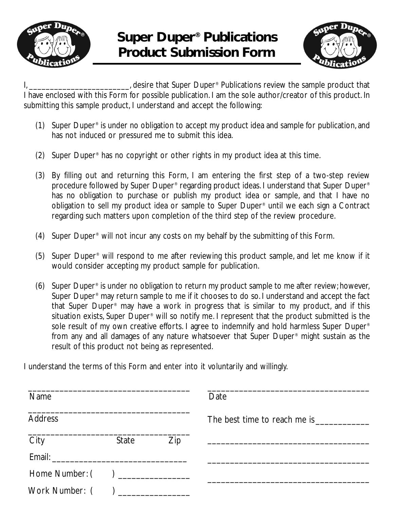



I, desire that Super Duper<sup>®</sup> Publications review the sample product that I have enclosed with this Form for possible publication. I am the sole author/creator of this product. In submitting this sample product, I understand and accept the following:

- (1) Super Duper® is under no obligation to accept my product idea and sample for publication, and has not induced or pressured me to submit this idea.
- (2) Super Duper® has no copyright or other rights in my product idea at this time.
- (3) By filling out and returning this Form, I am entering the first step of a two-step review procedure followed by Super Duper® regarding product ideas. I understand that Super Duper® has no obligation to purchase or publish my product idea or sample, and that I have no obligation to sell my product idea or sample to Super Duper® until we each sign a Contract regarding such matters upon completion of the third step of the review procedure.
- (4) Super Duper® will not incur any costs on my behalf by the submitting of this Form.
- (5) Super Duper® will respond to me after reviewing this product sample, and let me know if it would consider accepting my product sample for publication.
- (6) Super Duper® is under no obligation to return my product sample to me after review; however, Super Duper® may return sample to me if it chooses to do so. I understand and accept the fact that Super Duper® may have a work in progress that is similar to my product, and if this situation exists, Super Duper<sup>®</sup> will so notify me. I represent that the product submitted is the sole result of my own creative efforts. I agree to indemnify and hold harmless Super Duper<sup>®</sup> from any and all damages of any nature whatsoever that Super Duper® might sustain as the result of this product not being as represented.

I understand the terms of this Form and enter into it voluntarily and willingly.

| <b>Name</b>                     |                                                                                                                                                                                                                               |     | Date |  |
|---------------------------------|-------------------------------------------------------------------------------------------------------------------------------------------------------------------------------------------------------------------------------|-----|------|--|
| <b>Address</b>                  |                                                                                                                                                                                                                               |     |      |  |
| City                            | State                                                                                                                                                                                                                         | Zip |      |  |
|                                 |                                                                                                                                                                                                                               |     |      |  |
| Home Number: () _______________ |                                                                                                                                                                                                                               |     |      |  |
| Work Number: (                  | ) and the set of the set of the set of the set of the set of the set of the set of the set of the set of the set of the set of the set of the set of the set of the set of the set of the set of the set of the set of the se |     |      |  |